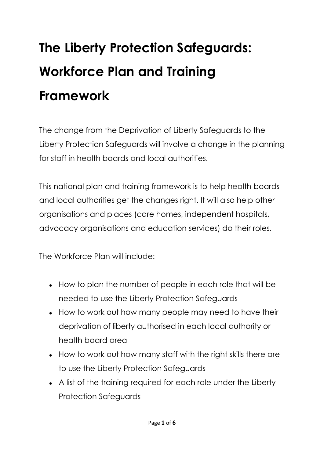# **The Liberty Protection Safeguards: Workforce Plan and Training Framework**

The change from the Deprivation of Liberty Safeguards to the Liberty Protection Safeguards will involve a change in the planning for staff in health boards and local authorities.

This national plan and training framework is to help health boards and local authorities get the changes right. It will also help other organisations and places (care homes, independent hospitals, advocacy organisations and education services) do their roles.

The Workforce Plan will include:

- How to plan the number of people in each role that will be needed to use the Liberty Protection Safeguards
- How to work out how many people may need to have their deprivation of liberty authorised in each local authority or health board area
- How to work out how many staff with the right skills there are to use the Liberty Protection Safeguards
- A list of the training required for each role under the Liberty Protection Safeguards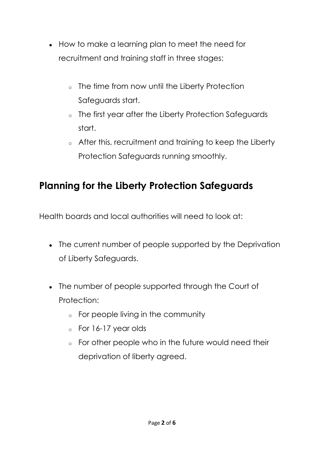- How to make a learning plan to meet the need for recruitment and training staff in three stages:
	- o The time from now until the Liberty Protection Safeguards start.
	- o The first year after the Liberty Protection Safeguards start.
	- o After this, recruitment and training to keep the Liberty Protection Safeguards running smoothly.

### **Planning for the Liberty Protection Safeguards**

Health boards and local authorities will need to look at:

- The current number of people supported by the Deprivation of Liberty Safeguards.
- The number of people supported through the Court of Protection:
	- o For people living in the community
	- o For 16-17 year olds
	- o For other people who in the future would need their deprivation of liberty agreed.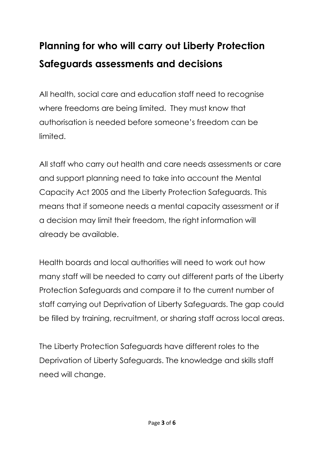# **Planning for who will carry out Liberty Protection Safeguards assessments and decisions**

All health, social care and education staff need to recognise where freedoms are being limited. They must know that authorisation is needed before someone's freedom can be limited.

All staff who carry out health and care needs assessments or care and support planning need to take into account the Mental Capacity Act 2005 and the Liberty Protection Safeguards. This means that if someone needs a mental capacity assessment or if a decision may limit their freedom, the right information will already be available.

Health boards and local authorities will need to work out how many staff will be needed to carry out different parts of the Liberty Protection Safeguards and compare it to the current number of staff carrying out Deprivation of Liberty Safeguards. The gap could be filled by training, recruitment, or sharing staff across local areas.

The Liberty Protection Safeguards have different roles to the Deprivation of Liberty Safeguards. The knowledge and skills staff need will change.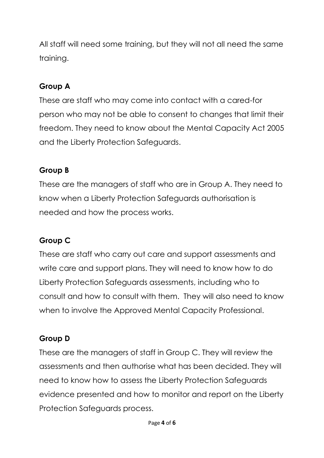All staff will need some training, but they will not all need the same training.

#### **Group A**

These are staff who may come into contact with a cared-for person who may not be able to consent to changes that limit their freedom. They need to know about the Mental Capacity Act 2005 and the Liberty Protection Safeguards.

#### **Group B**

These are the managers of staff who are in Group A. They need to know when a Liberty Protection Safeguards authorisation is needed and how the process works.

#### **Group C**

These are staff who carry out care and support assessments and write care and support plans. They will need to know how to do Liberty Protection Safeguards assessments, including who to consult and how to consult with them. They will also need to know when to involve the Approved Mental Capacity Professional.

#### **Group D**

These are the managers of staff in Group C. They will review the assessments and then authorise what has been decided. They will need to know how to assess the Liberty Protection Safeguards evidence presented and how to monitor and report on the Liberty Protection Safeguards process.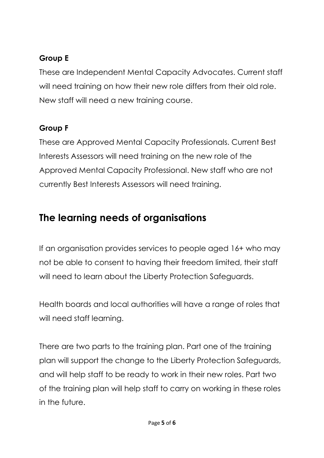#### **Group E**

These are Independent Mental Capacity Advocates. Current staff will need training on how their new role differs from their old role. New staff will need a new training course.

#### **Group F**

These are Approved Mental Capacity Professionals. Current Best Interests Assessors will need training on the new role of the Approved Mental Capacity Professional. New staff who are not currently Best Interests Assessors will need training.

## **The learning needs of organisations**

If an organisation provides services to people aged 16+ who may not be able to consent to having their freedom limited, their staff will need to learn about the Liberty Protection Safeguards.

Health boards and local authorities will have a range of roles that will need staff learning.

There are two parts to the training plan. Part one of the training plan will support the change to the Liberty Protection Safeguards, and will help staff to be ready to work in their new roles. Part two of the training plan will help staff to carry on working in these roles in the future.